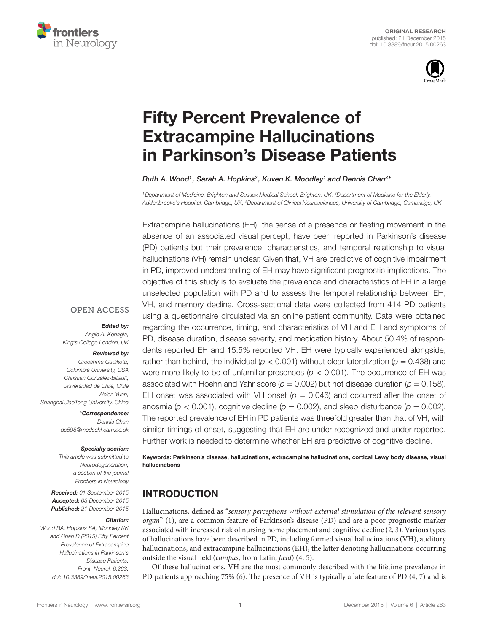



# [Fifty Percent Prevalence of](http://www.frontiersin.org/Journal/10.3389/fneur.2015.00263/abstract)  **Extracampine Hallucinations** [in Parkinson's Disease Patients](http://www.frontiersin.org/Journal/10.3389/fneur.2015.00263/abstract)

#### *[Ruth A. Wood](http://loop.frontiersin.org/people/266842/overview)1 , [Sarah A. Hopkins](http://loop.frontiersin.org/people/285280/overview)2 , [Kuven K. Moodley1](http://loop.frontiersin.org/people/11846/overview) and [Dennis Chan](http://loop.frontiersin.org/people/230494/overview)3 \**

*1Department of Medicine, Brighton and Sussex Medical School, Brighton, UK, 2 Department of Medicine for the Elderly, Addenbrooke's Hospital, Cambridge, UK, 3 Department of Clinical Neurosciences, University of Cambridge, Cambridge, UK*

Extracampine hallucinations (EH), the sense of a presence or fleeting movement in the absence of an associated visual percept, have been reported in Parkinson's disease (PD) patients but their prevalence, characteristics, and temporal relationship to visual hallucinations (VH) remain unclear. Given that, VH are predictive of cognitive impairment in PD, improved understanding of EH may have significant prognostic implications. The objective of this study is to evaluate the prevalence and characteristics of EH in a large unselected population with PD and to assess the temporal relationship between EH, VH, and memory decline. Cross-sectional data were collected from 414 PD patients using a questionnaire circulated via an online patient community. Data were obtained regarding the occurrence, timing, and characteristics of VH and EH and symptoms of PD, disease duration, disease severity, and medication history. About 50.4% of respondents reported EH and 15.5% reported VH. EH were typically experienced alongside, rather than behind, the individual ( $p < 0.001$ ) without clear lateralization ( $p = 0.438$ ) and were more likely to be of unfamiliar presences ( $p < 0.001$ ). The occurrence of EH was associated with Hoehn and Yahr score  $(p = 0.002)$  but not disease duration  $(p = 0.158)$ . EH onset was associated with VH onset  $(p = 0.046)$  and occurred after the onset of anosmia ( $p < 0.001$ ), cognitive decline ( $p = 0.002$ ), and sleep disturbance ( $p = 0.002$ ). The reported prevalence of EH in PD patients was threefold greater than that of VH, with similar timings of onset, suggesting that EH are under-recognized and under-reported. Further work is needed to determine whether EH are predictive of cognitive decline.

Keywords: Parkinson's disease, hallucinations, extracampine hallucinations, cortical Lewy body disease, visual hallucinations

### INTRODUCTION

Hallucinations, defined as "*sensory perceptions without external stimulation of the relevant sensory organ*" [\(1\)](#page-7-0), are a common feature of Parkinson's disease (PD) and are a poor prognostic marker associated with increased risk of nursing home placement and cognitive decline ([2](#page-7-1), [3\)](#page-7-2). Various types of hallucinations have been described in PD, including formed visual hallucinations (VH), auditory hallucinations, and extracampine hallucinations (EH), the latter denoting hallucinations occurring outside the visual field (*campus*, from Latin, *field*) [\(4,](#page-7-3) [5\)](#page-7-4).

Of these hallucinations, VH are the most commonly described with the lifetime prevalence in PD patients approaching 75% ([6](#page-7-5)). The presence of VH is typically a late feature of PD ([4](#page-7-3), [7](#page-7-6)) and is

# **OPEN ACCESS**

#### *Edited by:*

*Angie A. Kehagia, King's College London, UK*

#### *Reviewed by:*

*Greeshma Gadikota, Columbia University, USA Christian Gonzalez-Billault, Universidad de Chile, Chile Weien Yuan, Shanghai JiaoTong University, China*

> *\*Correspondence: Dennis Chan [dc598@medschl.cam.ac.uk](mailto:dc598@medschl.cam.ac.uk)*

#### *Specialty section:*

*This article was submitted to Neurodegeneration, a section of the journal Frontiers in Neurology*

*Received: 01 September 2015 Accepted: 03 December 2015 Published: 21 December 2015*

#### *Citation:*

*Wood RA, Hopkins SA, Moodley KK and Chan D (2015) Fifty Percent Prevalence of Extracampine Hallucinations in Parkinson's Disease Patients. Front. Neurol. 6:263. doi: [10.3389/fneur.2015.00263](http://dx.doi.org/10.3389/fneur.2015.00263)*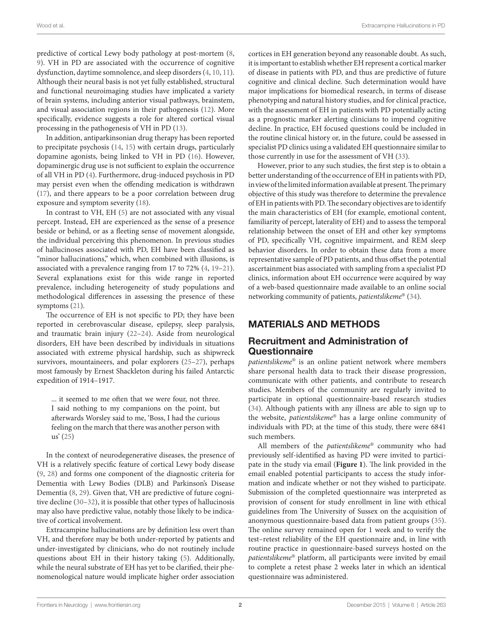predictive of cortical Lewy body pathology at post-mortem [\(8,](#page-7-7) [9\)](#page-7-8). VH in PD are associated with the occurrence of cognitive dysfunction, daytime somnolence, and sleep disorders [\(4,](#page-7-3) [10,](#page-7-9) [11\)](#page-7-10). Although their neural basis is not yet fully established, structural and functional neuroimaging studies have implicated a variety of brain systems, including anterior visual pathways, brainstem, and visual association regions in their pathogenesis [\(12](#page-7-11)). More specifically, evidence suggests a role for altered cortical visual processing in the pathogenesis of VH in PD [\(13\)](#page-7-12).

In addition, antiparkinsonian drug therapy has been reported to precipitate psychosis [\(14,](#page-7-13) [15\)](#page-7-14) with certain drugs, particularly dopamine agonists, being linked to VH in PD [\(16](#page-7-15)). However, dopaminergic drug use is not sufficient to explain the occurrence of all VH in PD [\(4\)](#page-7-3). Furthermore, drug-induced psychosis in PD may persist even when the offending medication is withdrawn ([17\)](#page-7-16), and there appears to be a poor correlation between drug exposure and symptom severity ([18](#page-7-17)).

In contrast to VH, EH [\(5\)](#page-7-4) are not associated with any visual percept. Instead, EH are experienced as the sense of a presence beside or behind, or as a fleeting sense of movement alongside, the individual perceiving this phenomenon. In previous studies of hallucinoses associated with PD, EH have been classified as "minor hallucinations," which, when combined with illusions, is associated with a prevalence ranging from 17 to 72% [\(4](#page-7-3), [19–](#page-8-0)[21\)](#page-8-1). Several explanations exist for this wide range in reported prevalence, including heterogeneity of study populations and methodological differences in assessing the presence of these symptoms ([21](#page-8-1)).

The occurrence of EH is not specific to PD; they have been reported in cerebrovascular disease, epilepsy, sleep paralysis, and traumatic brain injury ([22](#page-8-2)[–24](#page-8-3)). Aside from neurological disorders, EH have been described by individuals in situations associated with extreme physical hardship, such as shipwreck survivors, mountaineers, and polar explorers ([25](#page-8-4)[–27](#page-8-5)), perhaps most famously by Ernest Shackleton during his failed Antarctic expedition of 1914–1917.

... it seemed to me often that we were four, not three. I said nothing to my companions on the point, but afterwards Worsley said to me, 'Boss, I had the curious feeling on the march that there was another person with us' [\(25](#page-8-4))

In the context of neurodegenerative diseases, the presence of VH is a relatively specific feature of cortical Lewy body disease ([9](#page-7-8), [28\)](#page-8-6) and forms one component of the diagnostic criteria for Dementia with Lewy Bodies (DLB) and Parkinson's Disease Dementia ([8](#page-7-7), [29\)](#page-8-7). Given that, VH are predictive of future cognitive decline ([30](#page-8-8)–[32](#page-8-9)), it is possible that other types of hallucinosis may also have predictive value, notably those likely to be indicative of cortical involvement.

Extracampine hallucinations are by definition less overt than VH, and therefore may be both under-reported by patients and under-investigated by clinicians, who do not routinely include questions about EH in their history taking ([5](#page-7-4)). Additionally, while the neural substrate of EH has yet to be clarified, their phenomenological nature would implicate higher order association cortices in EH generation beyond any reasonable doubt. As such, it is important to establish whether EH represent a cortical marker of disease in patients with PD, and thus are predictive of future cognitive and clinical decline. Such determination would have major implications for biomedical research, in terms of disease phenotyping and natural history studies, and for clinical practice, with the assessment of EH in patients with PD potentially acting as a prognostic marker alerting clinicians to impend cognitive decline. In practice, EH focused questions could be included in the routine clinical history or, in the future, could be assessed in specialist PD clinics using a validated EH questionnaire similar to those currently in use for the assessment of VH ([33\)](#page-8-10).

However, prior to any such studies, the first step is to obtain a better understanding of the occurrence of EH in patients with PD, in view of the limited information available at present. The primary objective of this study was therefore to determine the prevalence of EH in patients with PD. The secondary objectives are to identify the main characteristics of EH (for example, emotional content, familiarity of percept, laterality of EH) and to assess the temporal relationship between the onset of EH and other key symptoms of PD, specifically VH, cognitive impairment, and REM sleep behavior disorders. In order to obtain these data from a more representative sample of PD patients, and thus offset the potential ascertainment bias associated with sampling from a specialist PD clinics, information about EH occurrence were acquired by way of a web-based questionnaire made available to an online social networking community of patients, *patientslikeme*® [\(34](#page-8-11)).

## MATERIALS AND METHODS

### Recruitment and Administration of Questionnaire

*patientslikeme*® is an online patient network where members share personal health data to track their disease progression, communicate with other patients, and contribute to research studies. Members of the community are regularly invited to participate in optional questionnaire-based research studies [\(34\)](#page-8-11). Although patients with any illness are able to sign up to the website, *patientslikeme*® has a large online community of individuals with PD; at the time of this study, there were 6841 such members.

All members of the *patientslikeme*® community who had previously self-identified as having PD were invited to participate in the study via email (**[Figure 1](#page-2-0)**). The link provided in the email enabled potential participants to access the study information and indicate whether or not they wished to participate. Submission of the completed questionnaire was interpreted as provision of consent for study enrollment in line with ethical guidelines from The University of Sussex on the acquisition of anonymous questionnaire-based data from patient groups [\(35](#page-8-12)). The online survey remained open for 1 week and to verify the test–retest reliability of the EH questionnaire and, in line with routine practice in questionnaire-based surveys hosted on the *patientslikeme*® platform, all participants were invited by email to complete a retest phase 2 weeks later in which an identical questionnaire was administered.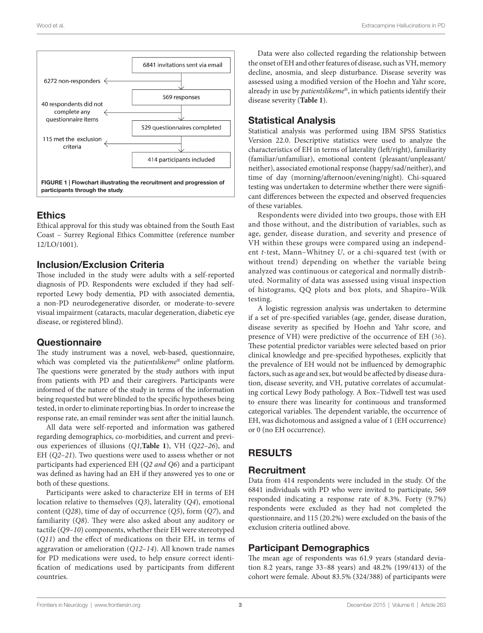

### <span id="page-2-0"></span>Ethics

Ethical approval for this study was obtained from the South East Coast – Surrey Regional Ethics Committee (reference number 12/LO/1001).

### Inclusion/Exclusion Criteria

Those included in the study were adults with a self-reported diagnosis of PD. Respondents were excluded if they had selfreported Lewy body dementia, PD with associated dementia, a non-PD neurodegenerative disorder, or moderate-to-severe visual impairment (cataracts, macular degeneration, diabetic eye disease, or registered blind).

### **Questionnaire**

The study instrument was a novel, web-based, questionnaire, which was completed via the *patientslikeme*® online platform. The questions were generated by the study authors with input from patients with PD and their caregivers. Participants were informed of the nature of the study in terms of the information being requested but were blinded to the specific hypotheses being tested, in order to eliminate reporting bias. In order to increase the response rate, an email reminder was sent after the initial launch.

All data were self-reported and information was gathered regarding demographics, co-morbidities, and current and previous experiences of illusions (*Q1,***[Table 1](#page-3-0)**), VH (*Q22–26*), and EH (*Q2–21*). Two questions were used to assess whether or not participants had experienced EH (*Q2 and Q6*) and a participant was defined as having had an EH if they answered yes to one or both of these questions.

Participants were asked to characterize EH in terms of EH location relative to themselves (*Q3*), laterality (*Q4*), emotional content (*Q28*), time of day of occurrence (*Q5*), form (*Q7*), and familiarity (*Q8*). They were also asked about any auditory or tactile (*Q9–10*) components, whether their EH were stereotyped (*Q11*) and the effect of medications on their EH, in terms of aggravation or amelioration (*Q12–14*). All known trade names for PD medications were used, to help ensure correct identification of medications used by participants from different countries.

Data were also collected regarding the relationship between the onset of EH and other features of disease, such as VH, memory decline, anosmia, and sleep disturbance. Disease severity was assessed using a modified version of the Hoehn and Yahr score, already in use by *patientslikeme*®, in which patients identify their disease severity (**[Table 1](#page-3-0)**).

### Statistical Analysis

Statistical analysis was performed using IBM SPSS Statistics Version 22.0. Descriptive statistics were used to analyze the characteristics of EH in terms of laterality (left/right), familiarity (familiar/unfamiliar), emotional content (pleasant/unpleasant/ neither), associated emotional response (happy/sad/neither), and time of day (morning/afternoon/evening/night). Chi-squared testing was undertaken to determine whether there were significant differences between the expected and observed frequencies of these variables.

Respondents were divided into two groups, those with EH and those without, and the distribution of variables, such as age, gender, disease duration, and severity and presence of VH within these groups were compared using an independent *t*-test, Mann–Whitney *U*, or a chi-squared test (with or without trend) depending on whether the variable being analyzed was continuous or categorical and normally distributed. Normality of data was assessed using visual inspection of histograms, QQ plots and box plots, and Shapiro–Wilk testing.

A logistic regression analysis was undertaken to determine if a set of pre-specified variables (age, gender, disease duration, disease severity as specified by Hoehn and Yahr score, and presence of VH) were predictive of the occurrence of EH [\(36](#page-8-13)). These potential predictor variables were selected based on prior clinical knowledge and pre-specified hypotheses, explicitly that the prevalence of EH would not be influenced by demographic factors, such as age and sex, but would be affected by disease duration, disease severity, and VH, putative correlates of accumulating cortical Lewy Body pathology. A Box–Tidwell test was used to ensure there was linearity for continuous and transformed categorical variables. The dependent variable, the occurrence of EH, was dichotomous and assigned a value of 1 (EH occurrence) or 0 (no EH occurrence).

# RESULTS

### **Recruitment**

Data from 414 respondents were included in the study. Of the 6841 individuals with PD who were invited to participate, 569 responded indicating a response rate of 8.3%. Forty (9.7%) respondents were excluded as they had not completed the questionnaire, and 115 (20.2%) were excluded on the basis of the exclusion criteria outlined above.

## Participant Demographics

The mean age of respondents was 61.9 years (standard deviation 8.2 years, range 33–88 years) and 48.2% (199/413) of the cohort were female. About 83.5% (324/388) of participants were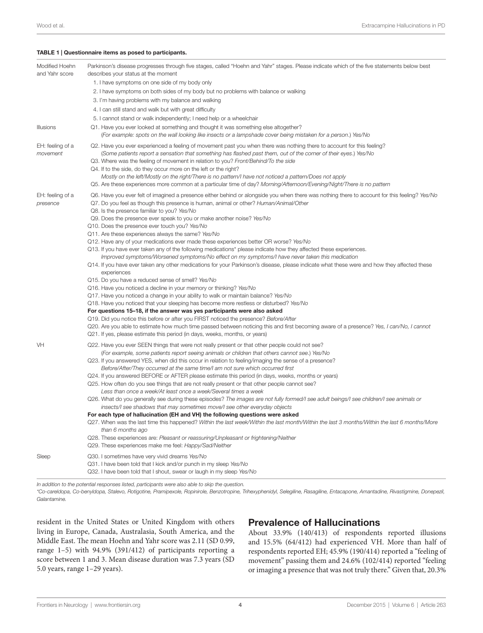#### <span id="page-3-0"></span>TABLE 1 | Questionnaire items as posed to participants.

| Modified Hoehn<br>and Yahr score<br>Illusions | Parkinson's disease progresses through five stages, called "Hoehn and Yahr" stages. Please indicate which of the five statements below best<br>describes your status at the moment<br>1. I have symptoms on one side of my body only<br>2. I have symptoms on both sides of my body but no problems with balance or walking<br>3. I'm having problems with my balance and walking<br>4. I can still stand and walk but with great difficulty<br>5. I cannot stand or walk independently; I need help or a wheelchair<br>Q1. Have you ever looked at something and thought it was something else altogether?<br>(For example: spots on the wall looking like insects or a lampshade cover being mistaken for a person.) Yes/No                                                                                                                                                                                                                                                                                                                                                                                                                                                                                                                                                                                                                                                                                                                                                                                                                                                                                                                                   |
|-----------------------------------------------|-----------------------------------------------------------------------------------------------------------------------------------------------------------------------------------------------------------------------------------------------------------------------------------------------------------------------------------------------------------------------------------------------------------------------------------------------------------------------------------------------------------------------------------------------------------------------------------------------------------------------------------------------------------------------------------------------------------------------------------------------------------------------------------------------------------------------------------------------------------------------------------------------------------------------------------------------------------------------------------------------------------------------------------------------------------------------------------------------------------------------------------------------------------------------------------------------------------------------------------------------------------------------------------------------------------------------------------------------------------------------------------------------------------------------------------------------------------------------------------------------------------------------------------------------------------------------------------------------------------------------------------------------------------------|
| EH: feeling of a<br>movement                  | Q2. Have you ever experienced a feeling of movement past you when there was nothing there to account for this feeling?<br>(Some patients report a sensation that something has flashed past them, out of the corner of their eyes.) Yes/No<br>Q3. Where was the feeling of movement in relation to you? Front/Behind/To the side<br>Q4. If to the side, do they occur more on the left or the right?<br>Mostly on the left/Mostly on the right/There is no pattern/I have not noticed a pattern/Does not apply<br>Q5. Are these experiences more common at a particular time of day? Morning/Afternoon/Evening/Night/There is no pattern                                                                                                                                                                                                                                                                                                                                                                                                                                                                                                                                                                                                                                                                                                                                                                                                                                                                                                                                                                                                                        |
| EH: feeling of a<br>presence                  | Q6. Have you ever felt of imagined a presence either behind or alongside you when there was nothing there to account for this feeling? Yes/No<br>Q7. Do you feel as though this presence is human, animal or other? Human/Animal/Other<br>Q8. Is the presence familiar to you? Yes/No<br>Q9. Does the presence ever speak to you or make another noise? Yes/No<br>Q10. Does the presence ever touch you? Yes/No<br>Q11. Are these experiences always the same? Yes/No<br>Q12. Have any of your medications ever made these experiences better OR worse? Yes/No<br>Q13. If you have ever taken any of the following medications* please indicate how they affected these experiences.<br>Improved symptoms/Worsened symptoms/No effect on my symptoms/I have never taken this medication<br>Q14. If you have ever taken any other medications for your Parkinson's disease, please indicate what these were and how they affected these<br>experiences<br>Q15. Do you have a reduced sense of smell? Yes/No<br>Q16. Have you noticed a decline in your memory or thinking? Yes/No<br>Q17. Have you noticed a change in your ability to walk or maintain balance? Yes/No<br>Q18. Have you noticed that your sleeping has become more restless or disturbed? Yes/No<br>For questions 15–18, if the answer was yes participants were also asked<br>Q19. Did you notice this before or after you FIRST noticed the presence? Before/After<br>Q20. Are you able to estimate how much time passed between noticing this and first becoming aware of a presence? Yes, I can/No, I cannot<br>Q21. If yes, please estimate this period (in days, weeks, months, or years) |
| VH                                            | Q22. Have you ever SEEN things that were not really present or that other people could not see?<br>(For example, some patients report seeing animals or children that others cannot see.) Yes/No<br>Q23. If you answered YES, when did this occur in relation to feeling/imaging the sense of a presence?<br>Before/After/They occurred at the same time/I am not sure which occurred first<br>Q24. If you answered BEFORE or AFTER please estimate this period (in days, weeks, months or years)<br>Q25. How often do you see things that are not really present or that other people cannot see?<br>Less than once a week/At least once a week/Several times a week<br>Q26. What do you generally see during these episodes? The images are not fully formed/I see adult beings/I see children/I see animals or<br>insects/I see shadows that may sometimes move/I see other everyday objects<br>For each type of hallucination (EH and VH) the following questions were asked<br>Q27. When was the last time this happened? Within the last week/Within the last month/Within the last 3 months/Within the last 6 months/More<br>than 6 months ago<br>Q28. These experiences are: Pleasant or reassuring/Unpleasant or frightening/Neither<br>Q29. These experiences make me feel: Happy/Sad/Neither                                                                                                                                                                                                                                                                                                                                                         |
| Sleep                                         | Q30. I sometimes have very vivid dreams Yes/No<br>Q31. I have been told that I kick and/or punch in my sleep Yes/No<br>Q32. I have been told that I shout, swear or laugh in my sleep Yes/No                                                                                                                                                                                                                                                                                                                                                                                                                                                                                                                                                                                                                                                                                                                                                                                                                                                                                                                                                                                                                                                                                                                                                                                                                                                                                                                                                                                                                                                                    |

*In addition to the potential responses listed, participants were also able to skip the question.*

*\*Co-careldopa, Co-benyldopa, Stalevo, Rotigotine, Pramipexole, Ropinirole, Benzotropine, Trihexyphenidyl, Selegiline, Rasagiline, Entacapone, Amantadine, Rivastigmine, Donepezil, Galantamine.*

resident in the United States or United Kingdom with others living in Europe, Canada, Australasia, South America, and the Middle East. The mean Hoehn and Yahr score was 2.11 (SD 0.99, range 1–5) with 94.9% (391/412) of participants reporting a score between 1 and 3. Mean disease duration was 7.3 years (SD 5.0 years, range 1–29 years).

#### Prevalence of Hallucinations

About 33.9% (140/413) of respondents reported illusions and 15.5% (64/412) had experienced VH. More than half of respondents reported EH; 45.9% (190/414) reported a "feeling of movement" passing them and 24.6% (102/414) reported "feeling or imaging a presence that was not truly there." Given that, 20.3%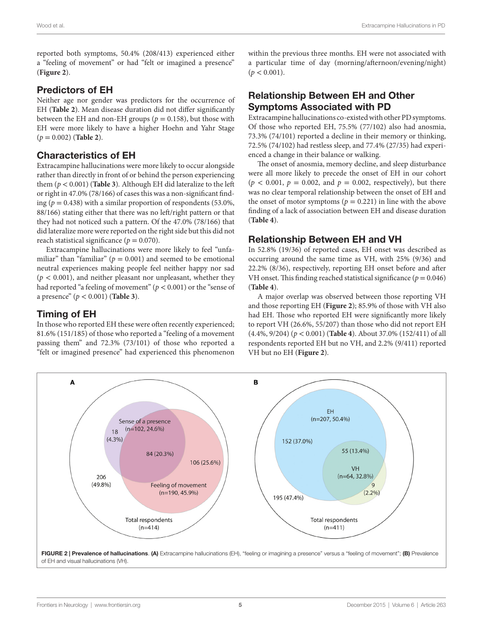reported both symptoms, 50.4% (208/413) experienced either a "feeling of movement" or had "felt or imagined a presence" (**[Figure 2](#page-4-0)**).

# Predictors of EH

Neither age nor gender was predictors for the occurrence of EH (**[Table 2](#page-5-0)**). Mean disease duration did not differ significantly between the EH and non-EH groups ( $p = 0.158$ ), but those with EH were more likely to have a higher Hoehn and Yahr Stage (*p* = 0.002) (**[Table 2](#page-5-0)**).

# Characteristics of EH

Extracampine hallucinations were more likely to occur alongside rather than directly in front of or behind the person experiencing them (*p* < 0.001) (**[Table 3](#page-5-1)**)*.* Although EH did lateralize to the left or right in 47.0% (78/166) of cases this was a non-significant finding  $(p = 0.438)$  with a similar proportion of respondents (53.0%, 88/166) stating either that there was no left/right pattern or that they had not noticed such a pattern. Of the 47.0% (78/166) that did lateralize more were reported on the right side but this did not reach statistical significance ( $p = 0.070$ ).

Extracampine hallucinations were more likely to feel "unfamiliar" than "familiar" ( $p = 0.001$ ) and seemed to be emotional neutral experiences making people feel neither happy nor sad  $(p < 0.001)$ , and neither pleasant nor unpleasant, whether they had reported "a feeling of movement" (*p* < 0.001) or the "sense of a presence" (*p* < 0.001) (**[Table 3](#page-5-1)**).

# Timing of EH

In those who reported EH these were often recently experienced; 81.6% (151/185) of those who reported a "feeling of a movement passing them" and 72.3% (73/101) of those who reported a "felt or imagined presence" had experienced this phenomenon within the previous three months. EH were not associated with a particular time of day (morning/afternoon/evening/night)  $(p < 0.001)$ .

# Relationship Between EH and Other Symptoms Associated with PD

Extracampine hallucinations co-existed with other PD symptoms. Of those who reported EH, 75.5% (77/102) also had anosmia, 73.3% (74/101) reported a decline in their memory or thinking, 72.5% (74/102) had restless sleep, and 77.4% (27/35) had experienced a change in their balance or walking.

The onset of anosmia, memory decline, and sleep disturbance were all more likely to precede the onset of EH in our cohort  $(p < 0.001, p = 0.002, \text{ and } p = 0.002, \text{ respectively})$ , but there was no clear temporal relationship between the onset of EH and the onset of motor symptoms ( $p = 0.221$ ) in line with the above finding of a lack of association between EH and disease duration (**[Table 4](#page-6-0)**).

# Relationship Between EH and VH

In 52.8% (19/36) of reported cases, EH onset was described as occurring around the same time as VH, with 25% (9/36) and 22.2% (8/36), respectively, reporting EH onset before and after VH onset. This finding reached statistical significance  $(p = 0.046)$ (**[Table 4](#page-6-0)**).

A major overlap was observed between those reporting VH and those reporting EH (**[Figure 2](#page-4-0)**); 85.9% of those with VH also had EH. Those who reported EH were significantly more likely to report VH (26.6%, 55/207) than those who did not report EH (4.4%, 9/204) (*p* < 0.001) (**[Table 4](#page-6-0)**). About 37.0% (152/411) of all respondents reported EH but no VH, and 2.2% (9/411) reported VH but no EH (**[Figure 2](#page-4-0)**).

<span id="page-4-0"></span>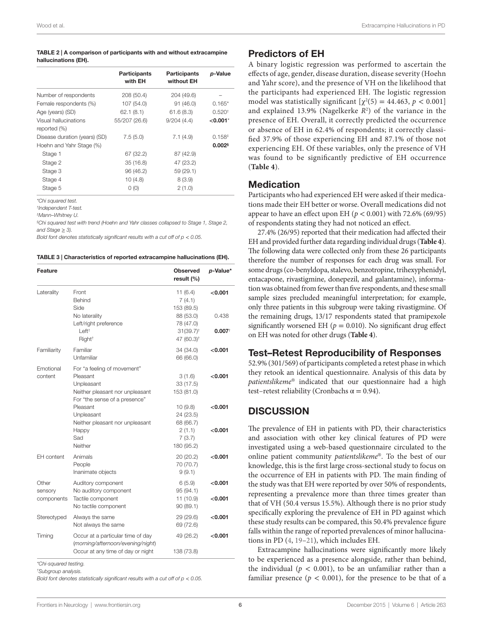#### <span id="page-5-0"></span>TABLE 2 | A comparison of participants with and without extracampine hallucinations (EH).

|                                       | <b>Participants</b><br>with EH | <b>Participants</b><br>without EH | p-Value              |
|---------------------------------------|--------------------------------|-----------------------------------|----------------------|
| Number of respondents                 | 208 (50.4)                     | 204 (49.6)                        |                      |
| Female respondents (%)                | 107 (54.0)                     | 91(46.0)                          | $0.165*$             |
| Age (years) (SD)                      | 62.1(8.1)                      | 61.6(8.3)                         | 0.520 <sup>†</sup>   |
| Visual hallucinations<br>reported (%) | 55/207 (26.6)                  | 9/204(4.4)                        | $<$ 0.001 $^*$       |
| Disease duration (years) (SD)         | 7.5(5.0)                       | 7.1(4.9)                          | 0.158 <sup>‡</sup>   |
| Hoehn and Yahr Stage (%)              |                                |                                   | $0.002$ <sup>§</sup> |
| Stage 1                               | 67 (32.2)                      | 87 (42.9)                         |                      |
| Stage 2                               | 35(16.8)                       | 47 (23.2)                         |                      |
| Stage 3                               | 96 (46.2)                      | 59(29.1)                          |                      |
| Stage 4                               | 10(4.8)                        | 8(3.9)                            |                      |
| Stage 5                               | O(0)                           | 2(1.0)                            |                      |
|                                       |                                |                                   |                      |

*\*Chi squared test.*

*† Independent T-test.*

*‡ Mann–Whitney U.*

*§ Chi squared test with trend (Hoehn and Yahr classes collapsed to Stage 1, Stage 2, and Stage* ≥ *3).*

*Bold font denotes statistically significant results with a cut off of*  $p < 0.05$ *.* 

<span id="page-5-1"></span>

| TABLE 3   Characteristics of reported extracampine hallucinations (EH). |  |  |
|-------------------------------------------------------------------------|--|--|
|                                                                         |  |  |

| <b>Feature</b>                 |                                                                                                                           | <b>Observed</b><br>result (%)                                               | p-Value*                      |
|--------------------------------|---------------------------------------------------------------------------------------------------------------------------|-----------------------------------------------------------------------------|-------------------------------|
| Laterality                     | Front<br>Behind<br>Side                                                                                                   | 11(6.4)<br>7(4.1)<br>153 (89.5)                                             | $<$ 0.001                     |
|                                | No laterality<br>Left/right preference<br>Left <sup>†</sup><br>Right <sup>+</sup>                                         | 88 (53.0)<br>78 (47.0)<br>$31(39.7)$ <sup>t</sup><br>47 (60.3) <sup>+</sup> | 0.438<br>$0.007$ <sup>†</sup> |
| Familiarity                    | Familiar<br>Unfamiliar                                                                                                    | 34 (34.0)<br>66 (66.0)                                                      | $<$ 0.001                     |
| Emotional<br>content           | For "a feeling of movement"<br>Pleasant<br>Unpleasant<br>Neither pleasant nor unpleasant<br>For "the sense of a presence" | 3(1.6)<br>33 (17.5)<br>153 (81.0)                                           | < 0.001                       |
|                                | Pleasant<br>Unpleasant<br>Neither pleasant nor unpleasant<br>Happy<br>Sad<br>Neither                                      | 10(9.8)<br>24 (23.5)<br>68 (66.7)<br>2(1.1)<br>7(3.7)<br>180 (95.2)         | < 0.001<br>$<$ 0.001          |
| <b>EH</b> content              | Animals<br>People<br>Inanimate objects                                                                                    | 20(20.2)<br>70 (70.7)<br>9(9.1)                                             | $<$ 0.001                     |
| Other<br>sensory<br>components | Auditory component<br>No auditory component<br>Tactile component<br>No tactile component                                  | 6(5.9)<br>95 (94.1)<br>11 (10.9)<br>90(89.1)                                | $<$ 0.001<br>< 0.001          |
| Stereotyped                    | Always the same<br>Not always the same                                                                                    | 29 (29.6)<br>69 (72.6)                                                      | $<$ 0.001                     |
| Timing                         | Occur at a particular time of day<br>(morning/afternoon/evening/night)<br>Occur at any time of day or night               | 49 (26.2)<br>138 (73.8)                                                     | $<$ 0.001                     |

*\*Chi-squared testing. † Subgroup analysis.*

Bold font denotes statistically significant results with a cut off of  $p < 0.05$ .

# Predictors of EH

A binary logistic regression was performed to ascertain the effects of age, gender, disease duration, disease severity (Hoehn and Yahr score), and the presence of VH on the likelihood that the participants had experienced EH. The logistic regression model was statistically significant  $[\chi^2(5) = 44.463, p < 0.001]$ and explained 13.9% (Nagelkerke  $R^2$ ) of the variance in the presence of EH. Overall, it correctly predicted the occurrence or absence of EH in 62.4% of respondents; it correctly classified 37.9% of those experiencing EH and 87.1% of those not experiencing EH. Of these variables, only the presence of VH was found to be significantly predictive of EH occurrence (**[Table 4](#page-6-0)**).

#### **Medication**

Participants who had experienced EH were asked if their medications made their EH better or worse. Overall medications did not appear to have an effect upon EH ( $p < 0.001$ ) with 72.6% (69/95) of respondents stating they had not noticed an effect.

27.4% (26/95) reported that their medication had affected their EH and provided further data regarding individual drugs (**[Table 4](#page-6-0)**). The following data were collected only from these 26 participants therefore the number of responses for each drug was small. For some drugs (co-benyldopa, stalevo, benzotropine, trihexyphenidyl, entacapone, rivastigmine, donepezil, and galantamine), information was obtained from fewer than five respondents, and these small sample sizes precluded meaningful interpretation; for example, only three patients in this subgroup were taking rivastigmine. Of the remaining drugs, 13/17 respondents stated that pramipexole significantly worsened EH ( $p = 0.010$ ). No significant drug effect on EH was noted for other drugs (**[Table 4](#page-6-0)**).

#### Test–Retest Reproducibility of Responses

52.9% (301/569) of participants completed a retest phase in which they retook an identical questionnaire. Analysis of this data by *patientslikeme*® indicated that our questionnaire had a high test–retest reliability (Cronbachs  $\alpha = 0.94$ ).

### **DISCUSSION**

The prevalence of EH in patients with PD, their characteristics and association with other key clinical features of PD were investigated using a web-based questionnaire circulated to the online patient community *patientslikeme*®. To the best of our knowledge, this is the first large cross-sectional study to focus on the occurrence of EH in patients with PD. The main finding of the study was that EH were reported by over 50% of respondents, representing a prevalence more than three times greater than that of VH (50.4 versus 15.5%). Although there is no prior study specifically exploring the prevalence of EH in PD against which these study results can be compared, this 50.4% prevalence figure falls within the range of reported prevalences of minor hallucinations in PD ([4](#page-7-3), [19–](#page-8-0)[21\)](#page-8-1), which includes EH.

Extracampine hallucinations were significantly more likely to be experienced as a presence alongside, rather than behind, the individual ( $p < 0.001$ ), to be an unfamiliar rather than a familiar presence ( $p < 0.001$ ), for the presence to be that of a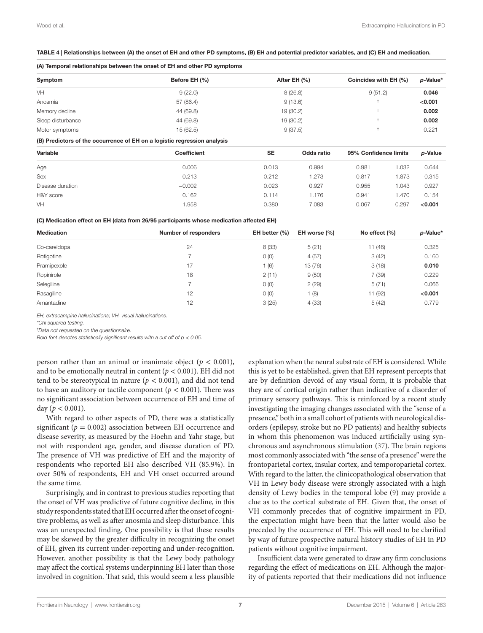#### <span id="page-6-0"></span>TABLE 4 | Relationships between (A) the onset of EH and other PD symptoms, (B) EH and potential predictor variables, and (C) EH and medication.

#### (A) Temporal relationships between the onset of EH and other PD symptoms

| Symptom           | Before EH (%) | After EH (%) | Coincides with EH (%) | p-Value* |
|-------------------|---------------|--------------|-----------------------|----------|
| VH                | 9(22.0)       | 8(26.8)      | 9(51.2)               | 0.046    |
| Anosmia           | 57 (86.4)     | 9(13.6)      |                       | < 0.001  |
| Memory decline    | 44 (69.8)     | 19(30.2)     |                       | 0.002    |
| Sleep disturbance | 44 (69.8)     | 19(30.2)     |                       | 0.002    |
| Motor symptoms    | 15(62.5)      | 9(37.5)      |                       | 0.221    |
|                   |               |              |                       |          |

#### (B) Predictors of the occurrence of EH on a logistic regression analysis

| Variable         | <b>SE</b><br><b>Coefficient</b> |       | Odds ratio | 95% Confidence limits |       | p-Value |
|------------------|---------------------------------|-------|------------|-----------------------|-------|---------|
| Age              | 0.006                           | 0.013 | 0.994      | 0.981                 | 1.032 | 0.644   |
| Sex              | 0.213                           | 0.212 | 1.273      | 0.817                 | 1.873 | 0.315   |
| Disease duration | $-0.002$                        | 0.023 | 0.927      | 0.955                 | 1.043 | 0.927   |
| H&Y score        | 0.162                           | 0.114 | .176       | 0.941                 | 1.470 | 0.154   |
| VH               | 1.958                           | 0.380 | 7.083      | 0.067                 | 0.297 | < 0.001 |

#### (C) Medication effect on EH (data from 26/95 participants whose medication affected EH)

| <b>Medication</b> | Number of responders | EH better $(%)$ | EH worse (%) | No effect $(\% )$ | p-Value* |
|-------------------|----------------------|-----------------|--------------|-------------------|----------|
| Co-careldopa      | 24                   | 8(33)           | 5(21)        | 11 (46)           | 0.325    |
| Rotigotine        |                      | O(0)            | 4(57)        | 3(42)             | 0.160    |
| Pramipexole       | 17                   | (6)             | 13 (76)      | 3(18)             | 0.010    |
| Ropinirole        | 18                   | 2(11)           | 9(50)        | 7 (39)            | 0.229    |
| Selegiline        |                      | O(0)            | 2(29)        | 5(71)             | 0.066    |
| Rasagiline        | 12                   | O(0)            | (8)          | 11 (92)           | < 0.001  |
| Amantadine        | 12                   | 3(25)           | 4(33)        | 5(42)             | 0.779    |

*EH, extracampine hallucinations; VH, visual hallucinations.*

*\*Chi squared testing.*

*† Data not requested on the questionnaire.*

*Bold font denotes statistically significant results with a cut off of*  $p < 0.05$ *.* 

person rather than an animal or inanimate object ( $p < 0.001$ ), and to be emotionally neutral in content ( $p < 0.001$ ). EH did not tend to be stereotypical in nature ( $p < 0.001$ ), and did not tend to have an auditory or tactile component ( $p < 0.001$ ). There was no significant association between occurrence of EH and time of day ( $p < 0.001$ ).

With regard to other aspects of PD, there was a statistically significant ( $p = 0.002$ ) association between EH occurrence and disease severity, as measured by the Hoehn and Yahr stage, but not with respondent age, gender, and disease duration of PD. The presence of VH was predictive of EH and the majority of respondents who reported EH also described VH (85.9%). In over 50% of respondents, EH and VH onset occurred around the same time.

Surprisingly, and in contrast to previous studies reporting that the onset of VH was predictive of future cognitive decline, in this study respondents stated that EH occurred after the onset of cognitive problems, as well as after anosmia and sleep disturbance. This was an unexpected finding. One possibility is that these results may be skewed by the greater difficulty in recognizing the onset of EH, given its current under-reporting and under-recognition. However, another possibility is that the Lewy body pathology may affect the cortical systems underpinning EH later than those involved in cognition. That said, this would seem a less plausible explanation when the neural substrate of EH is considered. While this is yet to be established, given that EH represent percepts that are by definition devoid of any visual form, it is probable that they are of cortical origin rather than indicative of a disorder of primary sensory pathways. This is reinforced by a recent study investigating the imaging changes associated with the "sense of a presence," both in a small cohort of patients with neurological disorders (epilepsy, stroke but no PD patients) and healthy subjects in whom this phenomenon was induced artificially using synchronous and asynchronous stimulation ([37\)](#page-8-14). The brain regions most commonly associated with "the sense of a presence" were the frontoparietal cortex, insular cortex, and temporoparietal cortex. With regard to the latter, the clinicopathological observation that VH in Lewy body disease were strongly associated with a high density of Lewy bodies in the temporal lobe ([9](#page-7-8)) may provide a clue as to the cortical substrate of EH. Given that, the onset of VH commonly precedes that of cognitive impairment in PD, the expectation might have been that the latter would also be preceded by the occurrence of EH. This will need to be clarified by way of future prospective natural history studies of EH in PD patients without cognitive impairment.

Insufficient data were generated to draw any firm conclusions regarding the effect of medications on EH. Although the majority of patients reported that their medications did not influence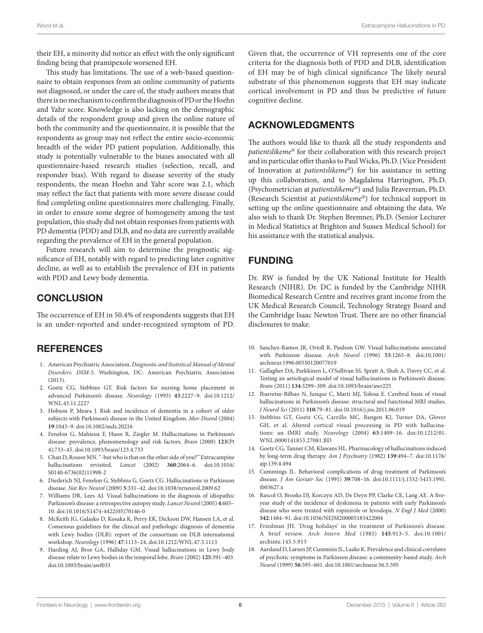their EH, a minority did notice an effect with the only significant finding being that pramipexole worsened EH.

This study has limitations. The use of a web-based questionnaire to obtain responses from an online community of patients not diagnosed, or under the care of, the study authors means that there is no mechanism to confirm the diagnosis of PD or the Hoehn and Yahr score. Knowledge is also lacking on the demographic details of the respondent group and given the online nature of both the community and the questionnaire, it is possible that the respondents as group may not reflect the entire socio-economic breadth of the wider PD patient population. Additionally, this study is potentially vulnerable to the biases associated with all questionnaire-based research studies (selection, recall, and responder bias). With regard to disease severity of the study respondents, the mean Hoehn and Yahr score was 2.1, which may reflect the fact that patients with more severe disease could find completing online questionnaires more challenging. Finally, in order to ensure some degree of homogeneity among the test population, this study did not obtain responses from patients with PD dementia (PDD) and DLB, and no data are currently available regarding the prevalence of EH in the general population.

Future research will aim to determine the prognostic significance of EH, notably with regard to predicting later cognitive decline, as well as to establish the prevalence of EH in patients with PDD and Lewy body dementia.

# **CONCLUSION**

The occurrence of EH in 50.4% of respondents suggests that EH is an under-reported and under-recognized symptom of PD.

### **REFERENCES**

- <span id="page-7-0"></span>1. American Psychiatric Association. *Diagnostic and Statistical Manual of Mental Disorders: DSM-5*. Washington, DC: American Psychiatric Association (2013).
- <span id="page-7-1"></span>2. Goetz CG, Stebbins GT. Risk factors for nursing home placement in advanced Parkinson's disease. *Neurology* (1993) **43**:2227–9. doi[:10.1212/](http://dx.doi.org/10.1212/WNL.43.11.2227) [WNL.43.11.2227](http://dx.doi.org/10.1212/WNL.43.11.2227)
- <span id="page-7-2"></span>3. Hobson P, Meara J. Risk and incidence of dementia in a cohort of older subjects with Parkinson's disease in the United Kingdom. *Mov Disord* (2004) **19**:1043–9. doi[:10.1002/mds.20216](http://dx.doi.org/10.1002/mds.20216)
- <span id="page-7-3"></span>4. Fenelon G, Mahieux F, Huon R, Ziegler M. Hallucinations in Parkinson's disease: prevalence, phenomenology and risk factors. *Brain* (2000) **123**(Pt 4):733–45. doi:[10.1093/brain/123.4.733](http://dx.doi.org/10.1093/brain/123.4.733)
- <span id="page-7-4"></span>5. Chan D, Rossor MN. "-but who is that on the other side of you?" Extracampine hallucinations revisited. *Lancet* (2002) **360**:2064–6. doi[:10.1016/](http://dx.doi.org/10.1016/S0140-6736(02)11998-2) [S0140-6736\(02\)11998-2](http://dx.doi.org/10.1016/S0140-6736(02)11998-2)
- <span id="page-7-5"></span>6. Diederich NJ, Fenelon G, Stebbins G, Goetz CG. Hallucinations in Parkinson disease. *Nat Rev Neurol* (2009) **5**:331–42. doi[:10.1038/nrneurol.2009.62](http://dx.doi.org/10.1038/nrneurol.2009.62)
- <span id="page-7-6"></span>7. Williams DR, Lees AJ. Visual hallucinations in the diagnosis of idiopathic Parkinson's disease: a retrospective autopsy study. *Lancet Neurol* (2005) **4**:605– 10. doi[:10.1016/S1474-4422\(05\)70146-0](http://dx.doi.org/10.1016/S1474-4422(05)70146-0)
- <span id="page-7-7"></span>8. McKeith IG, Galasko D, Kosaka K, Perry EK, Dickson DW, Hansen LA, et al. Consensus guidelines for the clinical and pathologic diagnosis of dementia with Lewy bodies (DLB): report of the consortium on DLB international workshop. *Neurology* (1996) **47**:1113–24. doi:[10.1212/WNL.47.5.1113](http://dx.doi.org/10.1212/WNL.47.5.1113)
- <span id="page-7-8"></span>9. Harding AJ, Broe GA, Halliday GM. Visual hallucinations in Lewy body disease relate to Lewy bodies in the temporal lobe. *Brain* (2002) **125**:391–403. doi:[10.1093/brain/awf033](http://dx.doi.org/10.1093/brain/awf033)

Given that, the occurrence of VH represents one of the core criteria for the diagnosis both of PDD and DLB, identification of EH may be of high clinical significance The likely neural substrate of this phenomenon suggests that EH may indicate cortical involvement in PD and thus be predictive of future cognitive decline.

### ACKNOWLEDGMENTS

The authors would like to thank all the study respondents and *patientslikeme*® for their collaboration with this research project and in particular offer thanks to Paul Wicks, Ph.D. (Vice President of Innovation at *patientslikeme*®) for his assistance in setting up this collaboration, and to Magdalena Harrington, Ph.D. (Psychometrician at *patientslikeme*®) and Julia Braverman, Ph.D. (Research Scientist at *patientslikeme*®) for technical support in setting up the online questionnaire and obtaining the data. We also wish to thank Dr. Stephen Bremner, Ph.D. (Senior Lecturer in Medical Statistics at Brighton and Sussex Medical School) for his assistance with the statistical analysis.

# FUNDING

Dr. RW is funded by the UK National Institute for Health Research (NIHR). Dr. DC is funded by the Cambridge NIHR Biomedical Research Centre and receives grant income from the UK Medical Research Council, Technology Strategy Board and the Cambridge Isaac Newton Trust. There are no other financial disclosures to make.

- <span id="page-7-9"></span>10. Sanchez-Ramos JR, Ortoll R, Paulson GW. Visual hallucinations associated with Parkinson disease. *Arch Neurol* (1996) **53**:1265–8. doi[:10.1001/](http://dx.doi.org/10.1001/archneur.1996.00550120077019) [archneur.1996.00550120077019](http://dx.doi.org/10.1001/archneur.1996.00550120077019)
- <span id="page-7-10"></span>11. Gallagher DA, Parkkinen L, O'Sullivan SS, Spratt A, Shah A, Davey CC, et al. Testing an aetiological model of visual hallucinations in Parkinson's disease. *Brain* (2011) **134**:3299–309. doi[:10.1093/brain/awr225](http://dx.doi.org/10.1093/brain/awr225)
- <span id="page-7-11"></span>12. Ibarretxe-Bilbao N, Junque C, Marti MJ, Tolosa E. Cerebral basis of visual hallucinations in Parkinson's disease: structural and functional MRI studies. *J Neurol Sci* (2011) **310**:79–81. doi[:10.1016/j.jns.2011.06.019](http://dx.doi.org/10.1016/j.jns.2011.06.019)
- <span id="page-7-12"></span>13. Stebbins GT, Goetz CG, Carrillo MC, Bangen KJ, Turner DA, Glover GH, et al. Altered cortical visual processing in PD with hallucinations: an fMRI study. *Neurology* (2004) **63**:1409–16. doi:[10.1212/01.](http://dx.doi.org/10.1212/01.WNL.0000141853.27081.BD) [WNL.0000141853.27081.BD](http://dx.doi.org/10.1212/01.WNL.0000141853.27081.BD)
- <span id="page-7-13"></span>14. Goetz CG, Tanner CM, Klawans HL. Pharmacology of hallucinations induced by long-term drug therapy. *Am J Psychiatry* (1982) **139**:494–7. doi[:10.1176/](http://dx.doi.org/10.1176/ajp.139.4.494) [ajp.139.4.494](http://dx.doi.org/10.1176/ajp.139.4.494)
- <span id="page-7-14"></span>15. Cummings JL. Behavioral complications of drug treatment of Parkinson's disease. *J Am Geriatr Soc* (1991) **39**:708–16. doi[:10.1111/j.1532-5415.1991.](http://dx.doi.org/10.1111/j.1532-5415.1991.tb03627.x) [tb03627.x](http://dx.doi.org/10.1111/j.1532-5415.1991.tb03627.x)
- <span id="page-7-15"></span>16. Rascol O, Brooks DJ, Korczyn AD, De Deyn PP, Clarke CE, Lang AE. A fiveyear study of the incidence of dyskinesia in patients with early Parkinson's disease who were treated with ropinirole or levodopa. *N Engl J Med* (2000) **342**:1484–91. doi[:10.1056/NEJM200005183422004](http://dx.doi.org/10.1056/NEJM200005183422004)
- <span id="page-7-16"></span>17. Friedman JH. 'Drug holidays' in the treatment of Parkinson's disease. A brief review. *Arch Intern Med* (1985) **145**:913–5. doi:[10.1001/](http://dx.doi.org/10.1001/archinte.145.5.913) [archinte.145.5.913](http://dx.doi.org/10.1001/archinte.145.5.913)
- <span id="page-7-17"></span>18. Aarsland D, Larsen JP, Cummins JL, Laake K. Prevalence and clinical correlates of psychotic symptoms in Parkinson disease: a community-based study. *Arch Neurol* (1999) **56**:595–601. doi:[10.1001/archneur.56.5.595](http://dx.doi.org/10.1001/archneur.56.5.595)